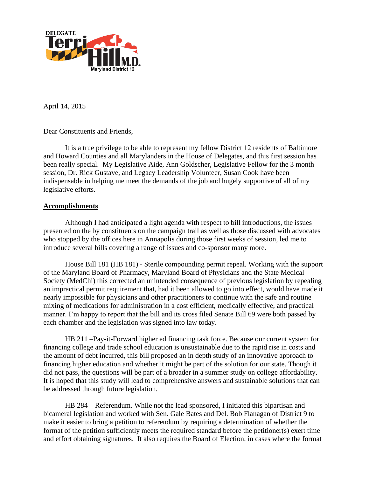

April 14, 2015

Dear Constituents and Friends,

 It is a true privilege to be able to represent my fellow District 12 residents of Baltimore and Howard Counties and all Marylanders in the House of Delegates, and this first session has been really special. My Legislative Aide, Ann Goldscher, Legislative Fellow for the 3 month session, Dr. Rick Gustave, and Legacy Leadership Volunteer, Susan Cook have been indispensable in helping me meet the demands of the job and hugely supportive of all of my legislative efforts.

### **Accomplishments**

Although I had anticipated a light agenda with respect to bill introductions, the issues presented on the by constituents on the campaign trail as well as those discussed with advocates who stopped by the offices here in Annapolis during those first weeks of session, led me to introduce several bills covering a range of issues and co-sponsor many more.

House Bill 181 (HB 181) - Sterile compounding permit repeal. Working with the support of the Maryland Board of Pharmacy, Maryland Board of Physicians and the State Medical Society (MedChi) this corrected an unintended consequence of previous legislation by repealing an impractical permit requirement that, had it been allowed to go into effect, would have made it nearly impossible for physicians and other practitioners to continue with the safe and routine mixing of medications for administration in a cost efficient, medically effective, and practical manner. I'm happy to report that the bill and its cross filed Senate Bill 69 were both passed by each chamber and the legislation was signed into law today.

HB 211 –Pay-it-Forward higher ed financing task force. Because our current system for financing college and trade school education is unsustainable due to the rapid rise in costs and the amount of debt incurred, this bill proposed an in depth study of an innovative approach to financing higher education and whether it might be part of the solution for our state. Though it did not pass, the questions will be part of a broader in a summer study on college affordability. It is hoped that this study will lead to comprehensive answers and sustainable solutions that can be addressed through future legislation.

HB 284 – Referendum. While not the lead sponsored, I initiated this bipartisan and bicameral legislation and worked with Sen. Gale Bates and Del. Bob Flanagan of District 9 to make it easier to bring a petition to referendum by requiring a determination of whether the format of the petition sufficiently meets the required standard before the petitioner(s) exert time and effort obtaining signatures. It also requires the Board of Election, in cases where the format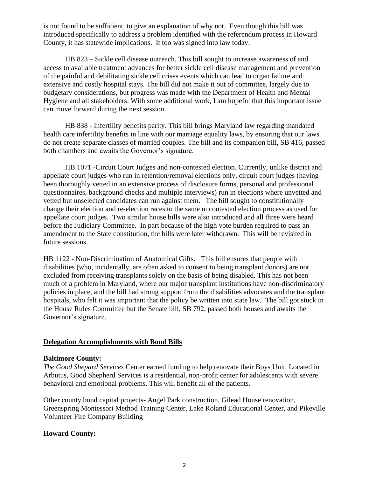is not found to be sufficient, to give an explanation of why not. Even though this bill was introduced specifically to address a problem identified with the referendum process in Howard County, it has statewide implications. It too was signed into law today.

HB 823 – Sickle cell disease outreach. This bill sought to increase awareness of and access to available treatment advances for better sickle cell disease management and prevention of the painful and debilitating sickle cell crises events which can lead to organ failure and extensive and costly hospital stays. The bill did not make it out of committee, largely due to budgetary considerations, but progress was made with the Department of Health and Mental Hygiene and all stakeholders. With some additional work, I am hopeful that this important issue can move forward during the next session.

HB 838 - Infertility benefits parity. This bill brings Maryland law regarding mandated health care infertility benefits in line with our marriage equality laws, by ensuring that our laws do not create separate classes of married couples. The bill and its companion bill, SB 416, passed both chambers and awaits the Governor's signature.

HB 1071 -Circuit Court Judges and non-contested election. Currently, unlike district and appellate court judges who run in retention/removal elections only, circuit court judges (having been thoroughly vetted in an extensive process of disclosure forms, personal and professional questionnaires, background checks and multiple interviews) run in elections where unvetted and vetted but unselected candidates can run against them. The bill sought to constitutionally change their election and re-election races to the same uncontested election process as used for appellate court judges. Two similar house bills were also introduced and all three were heard before the Judiciary Committee. In part because of the high vote burden required to pass an amendment to the State constitution, the bills were later withdrawn. This will be revisited in future sessions.

HB 1122 - Non-Discrimination of Anatomical Gifts. This bill ensures that people with disabilities (who, incidentally, are often asked to consent to being transplant donors) are not excluded from receiving transplants solely on the basis of being disabled. This has not been much of a problem in Maryland, where our major transplant institutions have non-discriminatory policies in place, and the bill had strong support from the disabilities advocates and the transplant hospitals, who felt it was important that the policy be written into state law. The bill got stuck in the House Rules Committee but the Senate bill, SB 792, passed both houses and awaits the Governor's signature.

### **Delegation Accomplishments with Bond Bills**

### **Baltimore County:**

*The Good Shepard Services* Center earned funding to help renovate their Boys Unit. Located in Arbutus, Good Shepherd Services is a residential, non-profit center for adolescents with severe behavioral and emotional problems. This will benefit all of the patients.

Other county bond capital projects- Angel Park construction, Gilead House renovation, Greenspring Montessori Method Training Center, Lake Roland Educational Center, and Pikeville Volunteer Fire Company Building

### **Howard County:**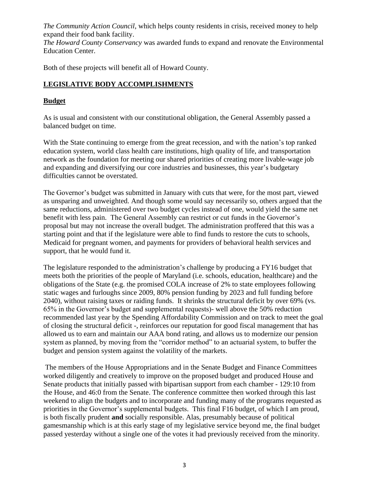*The Community Action Council*, which helps county residents in crisis, received money to help expand their food bank facility.

*The Howard County Conservancy* was awarded funds to expand and renovate the Environmental Education Center.

Both of these projects will benefit all of Howard County.

# **LEGISLATIVE BODY ACCOMPLISHMENTS**

## **Budget**

As is usual and consistent with our constitutional obligation, the General Assembly passed a balanced budget on time.

With the State continuing to emerge from the great recession, and with the nation's top ranked education system, world class health care institutions, high quality of life, and transportation network as the foundation for meeting our shared priorities of creating more livable-wage job and expanding and diversifying our core industries and businesses, this year's budgetary difficulties cannot be overstated.

The Governor's budget was submitted in January with cuts that were, for the most part, viewed as unsparing and unweighted. And though some would say necessarily so, others argued that the same reductions, administered over two budget cycles instead of one, would yield the same net benefit with less pain. The General Assembly can restrict or cut funds in the Governor's proposal but may not increase the overall budget. The administration proffered that this was a starting point and that if the legislature were able to find funds to restore the cuts to schools, Medicaid for pregnant women, and payments for providers of behavioral health services and support, that he would fund it.

The legislature responded to the administration's challenge by producing a FY16 budget that meets both the priorities of the people of Maryland (i.e. schools, education, healthcare) and the obligations of the State (e.g. the promised COLA increase of 2% to state employees following static wages and furloughs since 2009, 80% pension funding by 2023 and full funding before 2040), without raising taxes or raiding funds. It shrinks the structural deficit by over 69% (vs. 65% in the Governor's budget and supplemental requests)- well above the 50% reduction recommended last year by the Spending Affordability Commission and on track to meet the goal of closing the structural deficit -, reinforces our reputation for good fiscal management that has allowed us to earn and maintain our AAA bond rating, and allows us to modernize our pension system as planned, by moving from the "corridor method" to an actuarial system, to buffer the budget and pension system against the volatility of the markets.

The members of the House Appropriations and in the Senate Budget and Finance Committees worked diligently and creatively to improve on the proposed budget and produced House and Senate products that initially passed with bipartisan support from each chamber - 129:10 from the House, and 46:0 from the Senate. The conference committee then worked through this last weekend to align the budgets and to incorporate and funding many of the programs requested as priorities in the Governor's supplemental budgets. This final F16 budget, of which I am proud, is both fiscally prudent **and** socially responsible. Alas, presumably because of political gamesmanship which is at this early stage of my legislative service beyond me, the final budget passed yesterday without a single one of the votes it had previously received from the minority.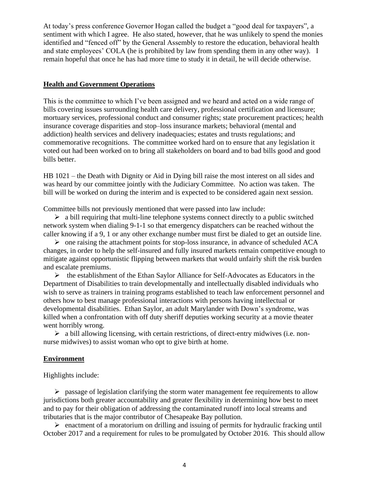At today's press conference Governor Hogan called the budget a "good deal for taxpayers", a sentiment with which I agree. He also stated, however, that he was unlikely to spend the monies identified and "fenced off" by the General Assembly to restore the education, behavioral health and state employees' COLA (he is prohibited by law from spending them in any other way). I remain hopeful that once he has had more time to study it in detail, he will decide otherwise.

### **Health and Government Operations**

This is the committee to which I've been assigned and we heard and acted on a wide range of bills covering issues surrounding health care delivery, professional certification and licensure; mortuary services, professional conduct and consumer rights; state procurement practices; health insurance coverage disparities and stop–loss insurance markets; behavioral (mental and addiction) health services and delivery inadequacies; estates and trusts regulations; and commemorative recognitions. The committee worked hard on to ensure that any legislation it voted out had been worked on to bring all stakeholders on board and to bad bills good and good bills better.

HB 1021 – the Death with Dignity or Aid in Dying bill raise the most interest on all sides and was heard by our committee jointly with the Judiciary Committee. No action was taken. The bill will be worked on during the interim and is expected to be considered again next session.

Committee bills not previously mentioned that were passed into law include:

 $\triangleright$  a bill requiring that multi-line telephone systems connect directly to a public switched network system when dialing 9-1-1 so that emergency dispatchers can be reached without the caller knowing if a 9, 1 or any other exchange number must first be dialed to get an outside line.

 $\triangleright$  one raising the attachment points for stop-loss insurance, in advance of scheduled ACA changes, in order to help the self-insured and fully insured markets remain competitive enough to mitigate against opportunistic flipping between markets that would unfairly shift the risk burden and escalate premiums.

 $\triangleright$  the establishment of the Ethan Saylor Alliance for Self-Advocates as Educators in the Department of Disabilities to train developmentally and intellectually disabled individuals who wish to serve as trainers in training programs established to teach law enforcement personnel and others how to best manage professional interactions with persons having intellectual or developmental disabilities. Ethan Saylor, an adult Marylander with Down's syndrome, was killed when a confrontation with off duty sheriff deputies working security at a movie theater went horribly wrong.

 $\triangleright$  a bill allowing licensing, with certain restrictions, of direct-entry midwives (i.e. nonnurse midwives) to assist woman who opt to give birth at home.

#### **Environment**

Highlights include:

➢ passage of legislation clarifying the storm water management fee requirements to allow jurisdictions both greater accountability and greater flexibility in determining how best to meet and to pay for their obligation of addressing the contaminated runoff into local streams and tributaries that is the major contributor of Chesapeake Bay pollution.

 $\triangleright$  enactment of a moratorium on drilling and issuing of permits for hydraulic fracking until October 2017 and a requirement for rules to be promulgated by October 2016. This should allow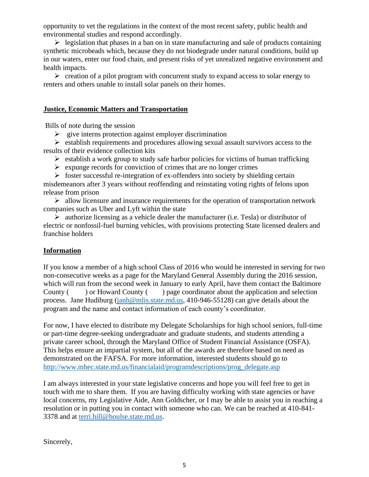opportunity to vet the regulations in the context of the most recent safety, public health and environmental studies and respond accordingly.

 $\triangleright$  legislation that phases in a ban on in state manufacturing and sale of products containing synthetic microbeads which, because they do not biodegrade under natural conditions, build up in our waters, enter our food chain, and present risks of yet unrealized negative environment and health impacts.

➢ creation of a pilot program with concurrent study to expand access to solar energy to renters and others unable to install solar panels on their homes.

### **Justice, Economic Matters and Transportation**

Bills of note during the session

 $\triangleright$  give interns protection against employer discrimination

➢ establish requirements and procedures allowing sexual assault survivors access to the results of their evidence collection kits

 $\triangleright$  establish a work group to study safe harbor policies for victims of human trafficking

 $\triangleright$  expunge records for conviction of crimes that are no longer crimes

 $\triangleright$  foster successful re-integration of ex-offenders into society by shielding certain misdemeanors after 3 years without reoffending and reinstating voting rights of felons upon release from prison

 $\triangleright$  allow licensure and insurance requirements for the operation of transportation network companies such as Uber and Lyft within the state

➢ authorize licensing as a vehicle dealer the manufacturer (i.e. Tesla) or distributor of electric or nonfossil-fuel burning vehicles, with provisions protecting State licensed dealers and franchise holders

### **Information**

If you know a member of a high school Class of 2016 who would be interested in serving for two non-consecutive weeks as a page for the Maryland General Assembly during the 2016 session, which will run from the second week in January to early April, have them contact the Baltimore County ( ) or Howard County ( ) page coordinator about the application and selection process. Jane Hudiburg [\(janh@mlis.state.md.us,](mailto:janh@mlis.state.md.us) 410-946-55128) can give details about the program and the name and contact information of each county's coordinator.

For now, I have elected to distribute my Delegate Scholarships for high school seniors, full-time or part-time degree-seeking undergraduate and graduate students, and students attending a private career school, through the Maryland Office of Student Financial Assistance (OSFA). This helps ensure an impartial system, but all of the awards are therefore based on need as demonstrated on the FAFSA. For more information, interested students should go to [http://www.mhec.state.md.us/financialaid/programdescriptions/prog\\_delegate.asp](http://www.mhec.state.md.us/financialaid/programdescriptions/prog_delegate.asp)

I am always interested in your state legislative concerns and hope you will feel free to get in touch with me to share them. If you are having difficulty working with state agencies or have local concerns, my Legislative Aide, Ann Goldscher, or I may be able to assist you in reaching a resolution or in putting you in contact with someone who can. We can be reached at 410-841- 3378 and at [terri.hill@houlse.state.md.us.](mailto:terri.hill@houlse.state.md.us)

Sincerely,